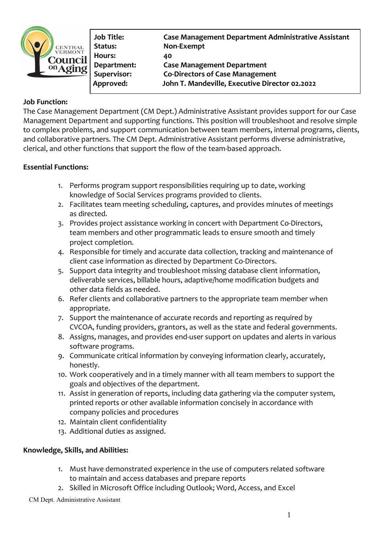

**Hours: 40** 

**Job Title: Case Management Department Administrative Assistant Status: Non-Exempt Department: Case Management Department Supervisor: Co-Directors of Case Management Approved: John T. Mandeville, Executive Director 02.2022**

# **Job Function:**

The Case Management Department (CM Dept.) Administrative Assistant provides support for our Case Management Department and supporting functions. This position will troubleshoot and resolve simple to complex problems, and support communication between team members, internal programs, clients, and collaborative partners. The CM Dept. Administrative Assistant performs diverse administrative, clerical, and other functions that support the flow of the team-based approach.

# **Essential Functions:**

- 1. Performs program support responsibilities requiring up to date, working knowledge of Social Services programs provided to clients.
- 2. Facilitates team meeting scheduling, captures, and provides minutes of meetings as directed.
- 3. Provides project assistance working in concert with Department Co-Directors, team members and other programmatic leads to ensure smooth and timely project completion.
- 4. Responsible for timely and accurate data collection, tracking and maintenance of client case information as directed by Department Co-Directors.
- 5. Support data integrity and troubleshoot missing database client information, deliverable services, billable hours, adaptive/home modification budgets and other data fields as needed.
- 6. Refer clients and collaborative partners to the appropriate team member when appropriate.
- 7. Support the maintenance of accurate records and reporting as required by CVCOA, funding providers, grantors, as well as the state and federal governments.
- 8. Assigns, manages, and provides end-user support on updates and alerts in various software programs.
- 9. Communicate critical information by conveying information clearly, accurately, honestly.
- 10. Work cooperatively and in a timely manner with all team members to support the goals and objectives of the department.
- 11. Assist in generation of reports, including data gathering via the computer system, printed reports or other available information concisely in accordance with company policies and procedures
- 12. Maintain client confidentiality
- 13. Additional duties as assigned.

# **Knowledge, Skills, and Abilities:**

- 1. Must have demonstrated experience in the use of computers related software to maintain and access databases and prepare reports
- 2. Skilled in Microsoft Office including Outlook; Word, Access, and Excel

CM Dept. Administrative Assistant